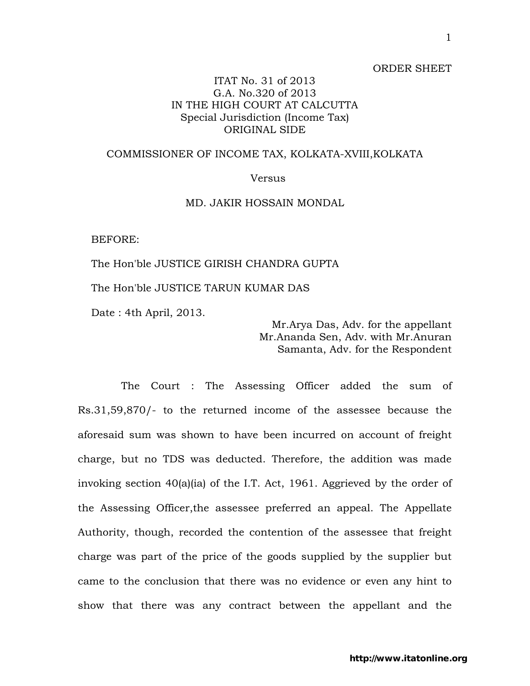#### ORDER SHEET

## ITAT No. 31 of 2013 G.A. No.320 of 2013 IN THE HIGH COURT AT CALCUTTA Special Jurisdiction (Income Tax) ORIGINAL SIDE

### COMMISSIONER OF INCOME TAX, KOLKATA-XVIII,KOLKATA

#### Versus

#### MD. JAKIR HOSSAIN MONDAL

BEFORE:

The Hon'ble JUSTICE GIRISH CHANDRA GUPTA

The Hon'ble JUSTICE TARUN KUMAR DAS

Date : 4th April, 2013.

Mr.Arya Das, Adv. for the appellant Mr.Ananda Sen, Adv. with Mr.Anuran Samanta, Adv. for the Respondent

 The Court : The Assessing Officer added the sum of Rs.31,59,870/- to the returned income of the assessee because the aforesaid sum was shown to have been incurred on account of freight charge, but no TDS was deducted. Therefore, the addition was made invoking section 40(a)(ia) of the I.T. Act, 1961. Aggrieved by the order of the Assessing Officer,the assessee preferred an appeal. The Appellate Authority, though, recorded the contention of the assessee that freight charge was part of the price of the goods supplied by the supplier but came to the conclusion that there was no evidence or even any hint to show that there was any contract between the appellant and the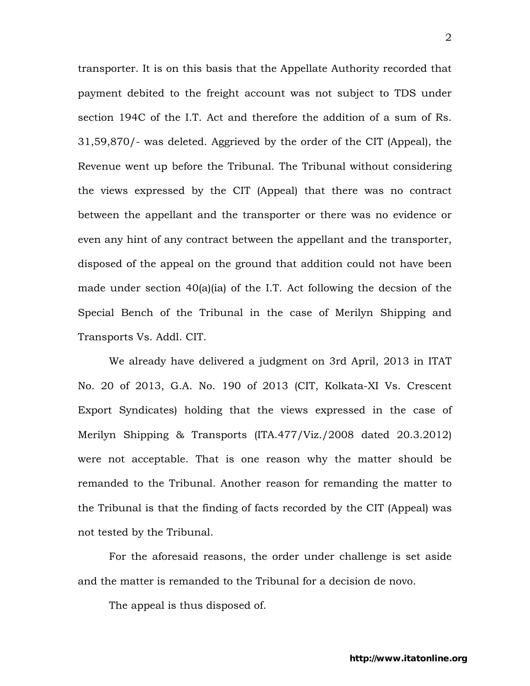transporter. It is on this basis that the Appellate Authority recorded that payment debited to the freight account was not subject to TDS under section 194C of the I.T. Act and therefore the addition of a sum of Rs. 31,59,870/- was deleted. Aggrieved by the order of the CIT (Appeal), the Revenue went up before the Tribunal. The Tribunal without considering the views expressed by the CIT (Appeal) that there was no contract between the appellant and the transporter or there was no evidence or even any hint of any contract between the appellant and the transporter, disposed of the appeal on the ground that addition could not have been made under section 40(a)(ia) of the I.T. Act following the decsion of the Special Bench of the Tribunal in the case of Merilyn Shipping and Transports Vs. Addl. CIT.

 We already have delivered a judgment on 3rd April, 2013 in ITAT No. 20 of 2013, G.A. No. 190 of 2013 (CIT, Kolkata-XI Vs. Crescent Export Syndicates) holding that the views expressed in the case of Merilyn Shipping & Transports (ITA.477/Viz./2008 dated 20.3.2012) were not acceptable. That is one reason why the matter should be remanded to the Tribunal. Another reason for remanding the matter to the Tribunal is that the finding of facts recorded by the CIT (Appeal) was not tested by the Tribunal.

 For the aforesaid reasons, the order under challenge is set aside and the matter is remanded to the Tribunal for a decision de novo.

The appeal is thus disposed of.